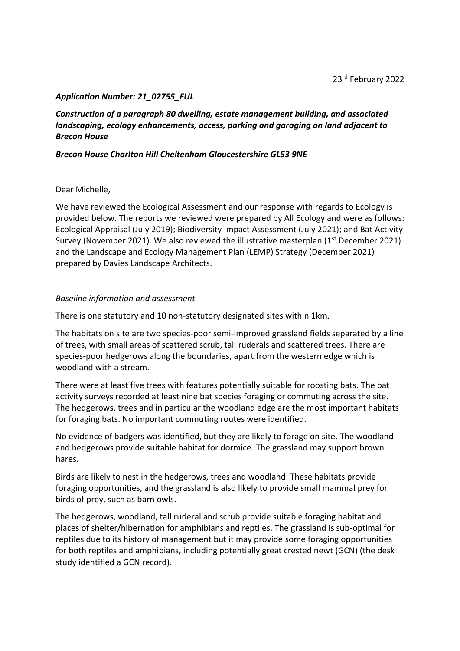## *Application Number: 21\_02755\_FUL*

*Construction of a paragraph 80 dwelling, estate management building, and associated landscaping, ecology enhancements, access, parking and garaging on land adjacent to Brecon House*

#### *Brecon House Charlton Hill Cheltenham Gloucestershire GL53 9NE*

## Dear Michelle,

We have reviewed the Ecological Assessment and our response with regards to Ecology is provided below. The reports we reviewed were prepared by All Ecology and were as follows: Ecological Appraisal (July 2019); Biodiversity Impact Assessment (July 2021); and Bat Activity Survey (November 2021). We also reviewed the illustrative masterplan  $(1<sup>st</sup>$  December 2021) and the Landscape and Ecology Management Plan (LEMP) Strategy (December 2021) prepared by Davies Landscape Architects.

## *Baseline information and assessment*

There is one statutory and 10 non-statutory designated sites within 1km.

The habitats on site are two species-poor semi-improved grassland fields separated by a line of trees, with small areas of scattered scrub, tall ruderals and scattered trees. There are species-poor hedgerows along the boundaries, apart from the western edge which is woodland with a stream.

There were at least five trees with features potentially suitable for roosting bats. The bat activity surveys recorded at least nine bat species foraging or commuting across the site. The hedgerows, trees and in particular the woodland edge are the most important habitats for foraging bats. No important commuting routes were identified.

No evidence of badgers was identified, but they are likely to forage on site. The woodland and hedgerows provide suitable habitat for dormice. The grassland may support brown hares.

Birds are likely to nest in the hedgerows, trees and woodland. These habitats provide foraging opportunities, and the grassland is also likely to provide small mammal prey for birds of prey, such as barn owls.

The hedgerows, woodland, tall ruderal and scrub provide suitable foraging habitat and places of shelter/hibernation for amphibians and reptiles. The grassland is sub-optimal for reptiles due to its history of management but it may provide some foraging opportunities for both reptiles and amphibians, including potentially great crested newt (GCN) (the desk study identified a GCN record).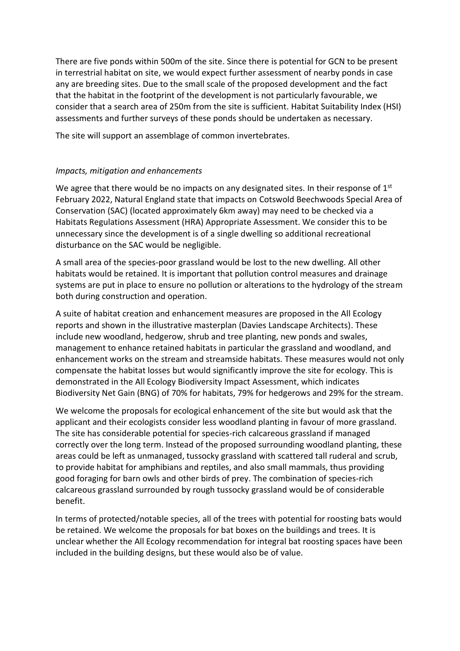There are five ponds within 500m of the site. Since there is potential for GCN to be present in terrestrial habitat on site, we would expect further assessment of nearby ponds in case any are breeding sites. Due to the small scale of the proposed development and the fact that the habitat in the footprint of the development is not particularly favourable, we consider that a search area of 250m from the site is sufficient. Habitat Suitability Index (HSI) assessments and further surveys of these ponds should be undertaken as necessary.

The site will support an assemblage of common invertebrates.

# *Impacts, mitigation and enhancements*

We agree that there would be no impacts on any designated sites. In their response of  $1<sup>st</sup>$ February 2022, Natural England state that impacts on Cotswold Beechwoods Special Area of Conservation (SAC) (located approximately 6km away) may need to be checked via a Habitats Regulations Assessment (HRA) Appropriate Assessment. We consider this to be unnecessary since the development is of a single dwelling so additional recreational disturbance on the SAC would be negligible.

A small area of the species-poor grassland would be lost to the new dwelling. All other habitats would be retained. It is important that pollution control measures and drainage systems are put in place to ensure no pollution or alterations to the hydrology of the stream both during construction and operation.

A suite of habitat creation and enhancement measures are proposed in the All Ecology reports and shown in the illustrative masterplan (Davies Landscape Architects). These include new woodland, hedgerow, shrub and tree planting, new ponds and swales, management to enhance retained habitats in particular the grassland and woodland, and enhancement works on the stream and streamside habitats. These measures would not only compensate the habitat losses but would significantly improve the site for ecology. This is demonstrated in the All Ecology Biodiversity Impact Assessment, which indicates Biodiversity Net Gain (BNG) of 70% for habitats, 79% for hedgerows and 29% for the stream.

We welcome the proposals for ecological enhancement of the site but would ask that the applicant and their ecologists consider less woodland planting in favour of more grassland. The site has considerable potential for species-rich calcareous grassland if managed correctly over the long term. Instead of the proposed surrounding woodland planting, these areas could be left as unmanaged, tussocky grassland with scattered tall ruderal and scrub, to provide habitat for amphibians and reptiles, and also small mammals, thus providing good foraging for barn owls and other birds of prey. The combination of species-rich calcareous grassland surrounded by rough tussocky grassland would be of considerable benefit.

In terms of protected/notable species, all of the trees with potential for roosting bats would be retained. We welcome the proposals for bat boxes on the buildings and trees. It is unclear whether the All Ecology recommendation for integral bat roosting spaces have been included in the building designs, but these would also be of value.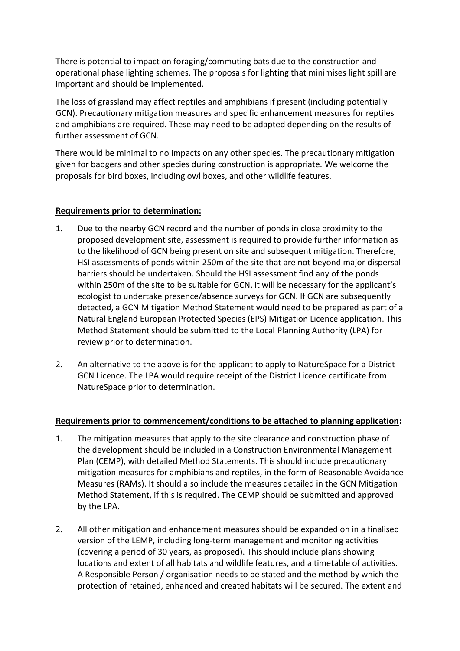There is potential to impact on foraging/commuting bats due to the construction and operational phase lighting schemes. The proposals for lighting that minimises light spill are important and should be implemented.

The loss of grassland may affect reptiles and amphibians if present (including potentially GCN). Precautionary mitigation measures and specific enhancement measures for reptiles and amphibians are required. These may need to be adapted depending on the results of further assessment of GCN.

There would be minimal to no impacts on any other species. The precautionary mitigation given for badgers and other species during construction is appropriate. We welcome the proposals for bird boxes, including owl boxes, and other wildlife features.

## **Requirements prior to determination:**

- 1. Due to the nearby GCN record and the number of ponds in close proximity to the proposed development site, assessment is required to provide further information as to the likelihood of GCN being present on site and subsequent mitigation. Therefore, HSI assessments of ponds within 250m of the site that are not beyond major dispersal barriers should be undertaken. Should the HSI assessment find any of the ponds within 250m of the site to be suitable for GCN, it will be necessary for the applicant's ecologist to undertake presence/absence surveys for GCN. If GCN are subsequently detected, a GCN Mitigation Method Statement would need to be prepared as part of a Natural England European Protected Species (EPS) Mitigation Licence application. This Method Statement should be submitted to the Local Planning Authority (LPA) for review prior to determination.
- 2. An alternative to the above is for the applicant to apply to NatureSpace for a District GCN Licence. The LPA would require receipt of the District Licence certificate from NatureSpace prior to determination.

#### **Requirements prior to commencement/conditions to be attached to planning application:**

- 1. The mitigation measures that apply to the site clearance and construction phase of the development should be included in a Construction Environmental Management Plan (CEMP), with detailed Method Statements. This should include precautionary mitigation measures for amphibians and reptiles, in the form of Reasonable Avoidance Measures (RAMs). It should also include the measures detailed in the GCN Mitigation Method Statement, if this is required. The CEMP should be submitted and approved by the LPA.
- 2. All other mitigation and enhancement measures should be expanded on in a finalised version of the LEMP, including long-term management and monitoring activities (covering a period of 30 years, as proposed). This should include plans showing locations and extent of all habitats and wildlife features, and a timetable of activities. A Responsible Person / organisation needs to be stated and the method by which the protection of retained, enhanced and created habitats will be secured. The extent and